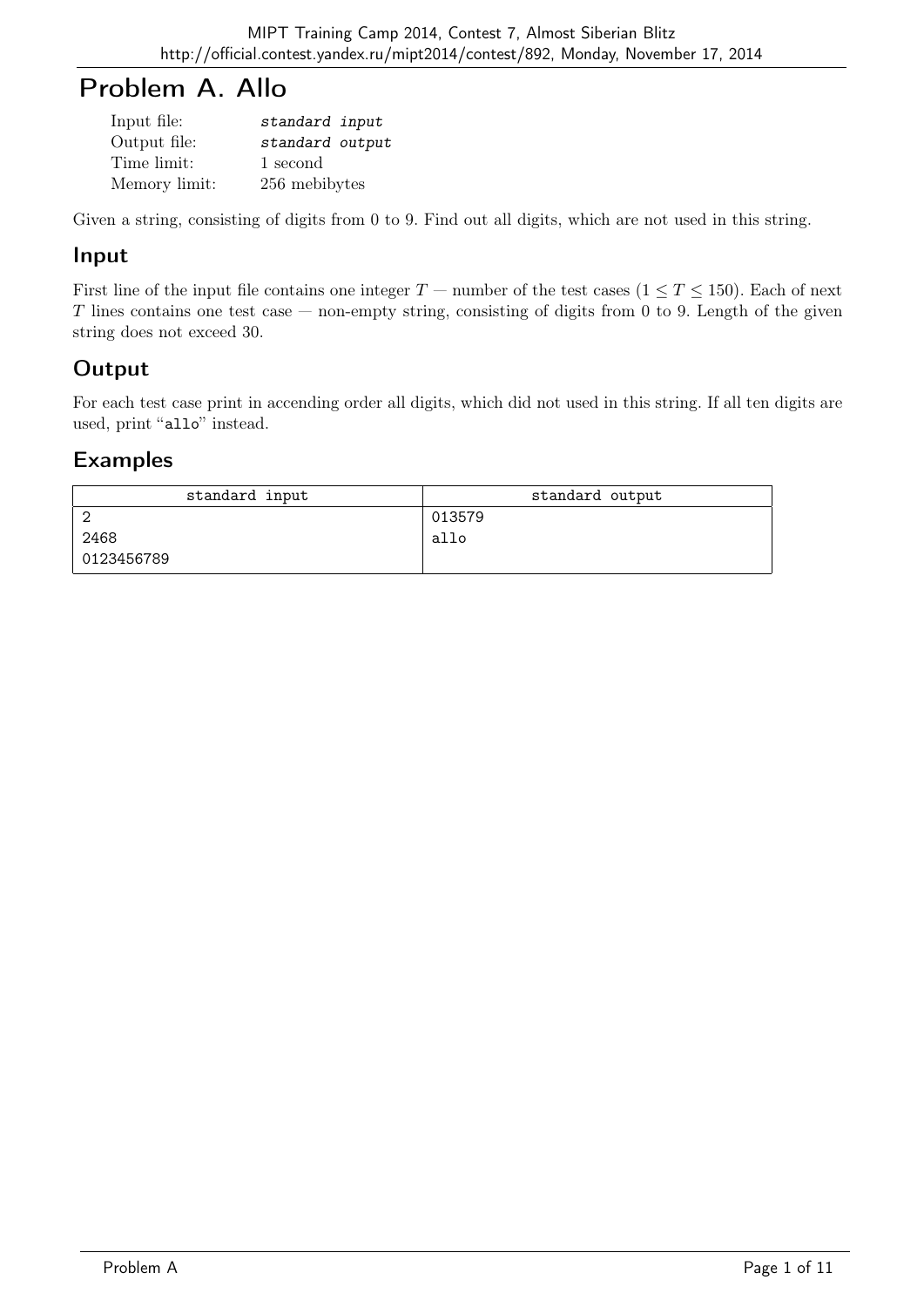# Problem A. Allo

| Input file:   | standard input  |
|---------------|-----------------|
| Output file:  | standard output |
| Time limit:   | 1 second        |
| Memory limit: | 256 mebibytes   |

Given a string, consisting of digits from 0 to 9. Find out all digits, which are not used in this string.

## Input

First line of the input file contains one integer  $T$  — number of the test cases  $(1 \le T \le 150)$ . Each of next T lines contains one test case — non-empty string, consisting of digits from 0 to 9. Length of the given string does not exceed 30.

# Output

For each test case print in accending order all digits, which did not used in this string. If all ten digits are used, print "allo" instead.

| standard input | standard output |
|----------------|-----------------|
|                | 013579          |
| 2468           | allo            |
| 0123456789     |                 |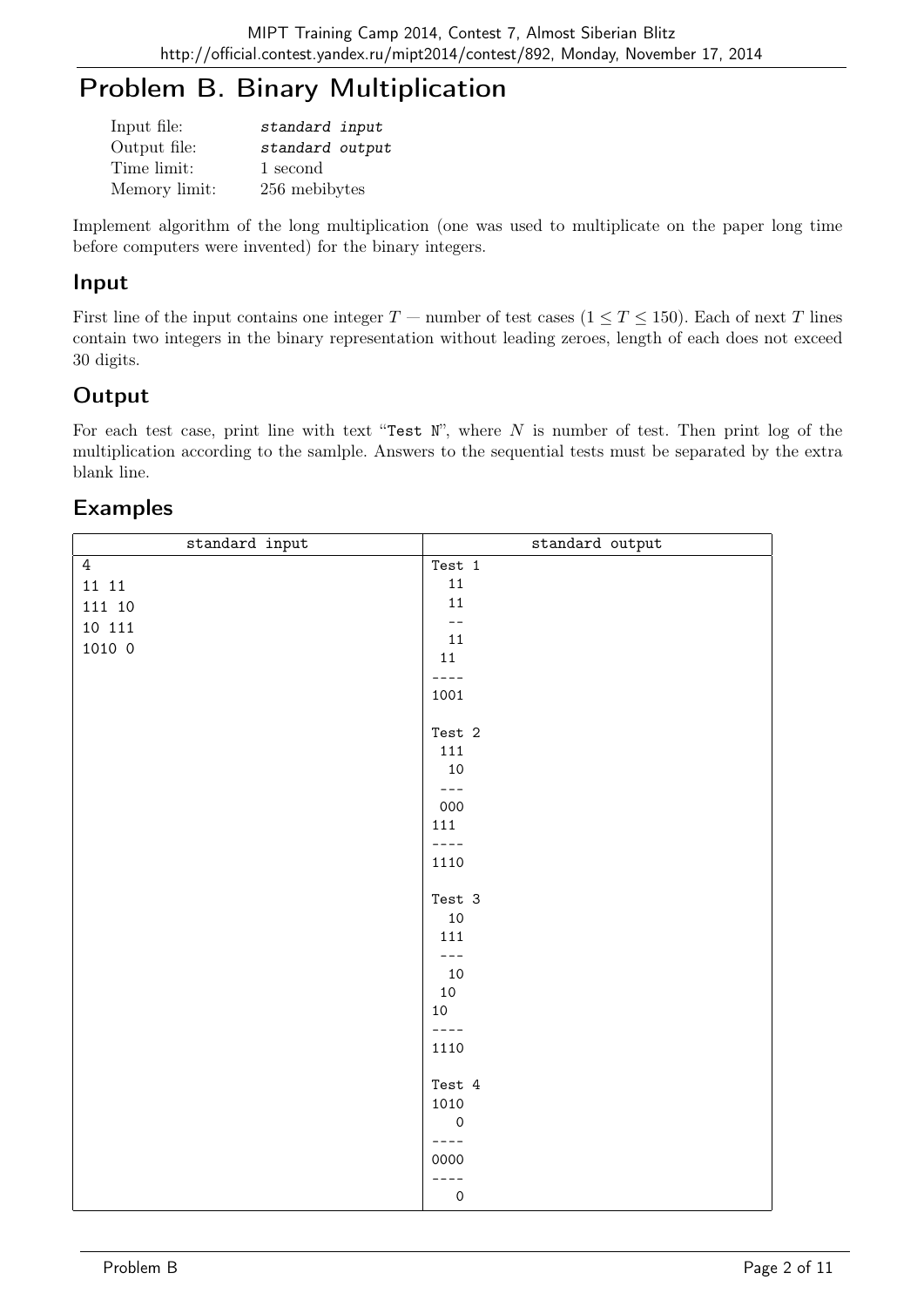# Problem B. Binary Multiplication

| Input file:   | standard input  |
|---------------|-----------------|
| Output file:  | standard output |
| Time limit:   | 1 second        |
| Memory limit: | 256 mebibytes   |

Implement algorithm of the long multiplication (one was used to multiplicate on the paper long time before computers were invented) for the binary integers.

#### Input

First line of the input contains one integer  $T$  — number of test cases  $(1 \le T \le 150)$ . Each of next T lines contain two integers in the binary representation without leading zeroes, length of each does not exceed 30 digits.

# **Output**

For each test case, print line with text "Test N", where N is number of test. Then print  $log$  of the multiplication according to the samlple. Answers to the sequential tests must be separated by the extra blank line.

| standard input | standard output                           |
|----------------|-------------------------------------------|
| $\overline{4}$ | Test 1                                    |
| $11\;\;11$     | $11\,$                                    |
| 111 10         | $11\,$                                    |
| 10 111         | $\overline{\phantom{a}}$                  |
| 1010 0         | $11\,$                                    |
|                | 11                                        |
|                | $- - - -$                                 |
|                | 1001                                      |
|                |                                           |
|                | Test 2                                    |
|                | 111                                       |
|                | $10\,$                                    |
|                | $ -$                                      |
|                | 000                                       |
|                | 111                                       |
|                | $- - - -$                                 |
|                | 1110                                      |
|                | Test 3                                    |
|                | $10\,$                                    |
|                | 111                                       |
|                | $---$                                     |
|                | $10\,$                                    |
|                | $10\,$                                    |
|                | 10                                        |
|                | $\frac{1}{2} = \frac{1}{2} = \frac{1}{2}$ |
|                | 1110                                      |
|                |                                           |
|                | Test 4                                    |
|                | 1010                                      |
|                | $\mathsf{O}\xspace$                       |
|                | $- - - -$                                 |
|                | 0000                                      |
|                | $---$                                     |
|                | $\mathsf{O}\xspace$                       |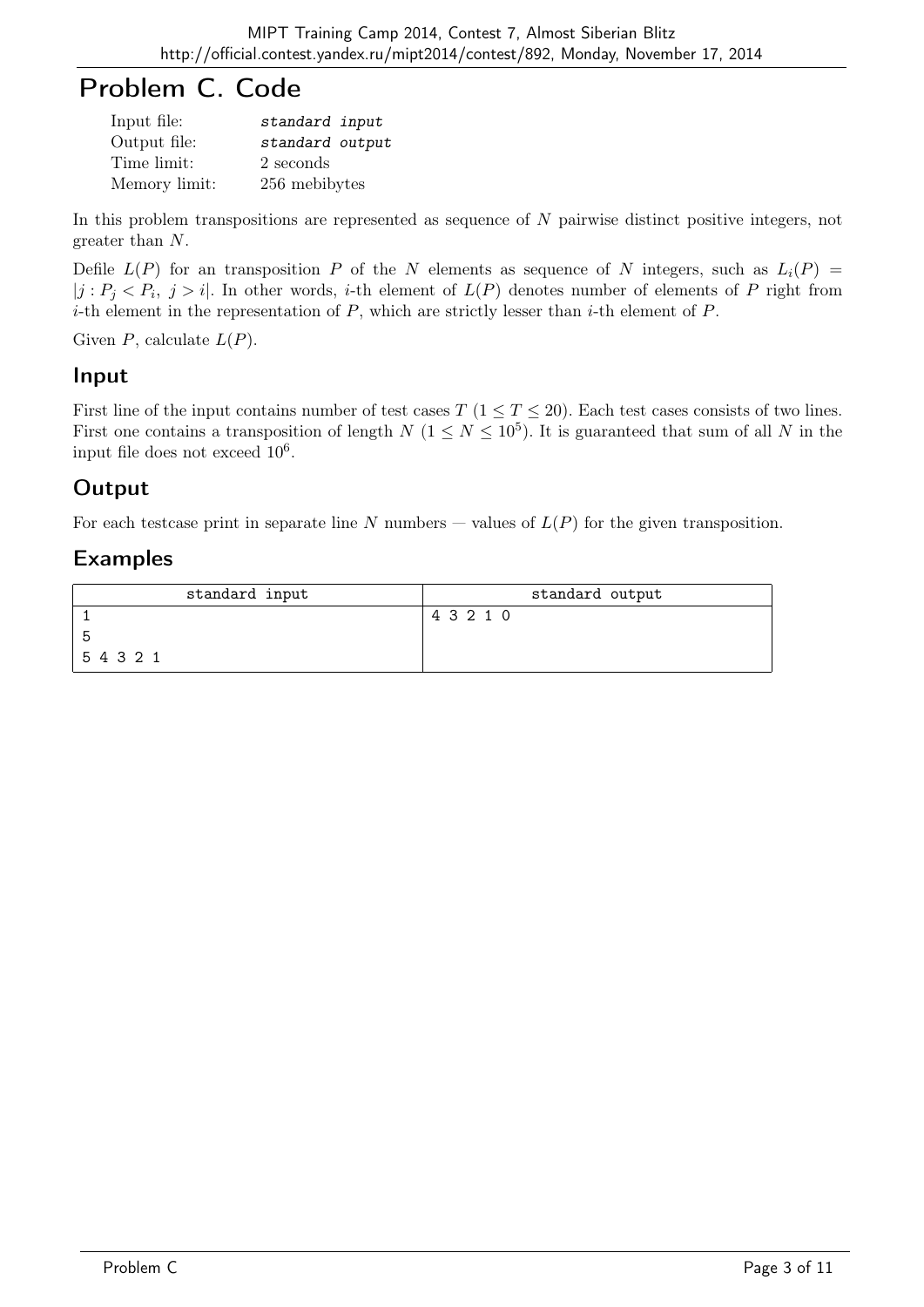# Problem C. Code

| Input file:   | standard input  |
|---------------|-----------------|
| Output file:  | standard output |
| Time limit:   | 2 seconds       |
| Memory limit: | 256 mebibytes   |

In this problem transpositions are represented as sequence of N pairwise distinct positive integers, not greater than N.

Defile  $L(P)$  for an transposition P of the N elements as sequence of N integers, such as  $L_i(P)$  =  $|j: P_j < P_i, j > i$ . In other words, *i*-th element of  $L(P)$  denotes number of elements of P right from *i*-th element in the representation of  $P$ , which are strictly lesser than *i*-th element of  $P$ .

Given  $P$ , calculate  $L(P)$ .

#### Input

First line of the input contains number of test cases T  $(1 \le T \le 20)$ . Each test cases consists of two lines. First one contains a transposition of length  $N$  ( $1 \leq N \leq 10^5$ ). It is guaranteed that sum of all N in the input file does not exceed  $10^6$ .

## Output

For each testcase print in separate line N numbers – values of  $L(P)$  for the given transposition.

| standard input | standard output |
|----------------|-----------------|
|                | 4 3 2 1 0       |
| . ხ            |                 |
| 54321          |                 |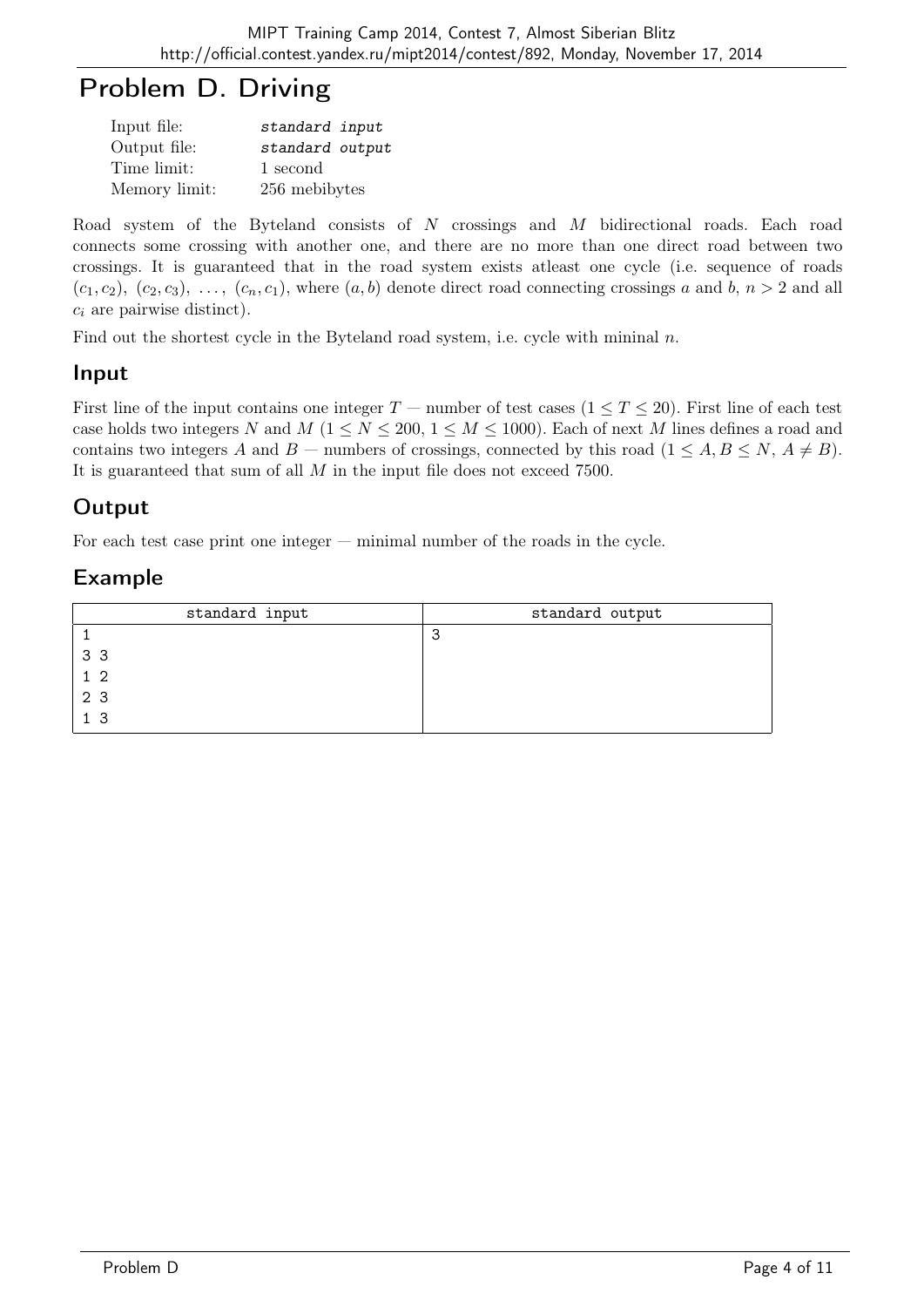# Problem D. Driving

| Input file:   | standard input  |
|---------------|-----------------|
| Output file:  | standard output |
| Time limit:   | 1 second        |
| Memory limit: | 256 mebibytes   |

Road system of the Byteland consists of N crossings and M bidirectional roads. Each road connects some crossing with another one, and there are no more than one direct road between two crossings. It is guaranteed that in the road system exists atleast one cycle (i.e. sequence of roads  $(c_1, c_2), (c_2, c_3), \ldots, (c_n, c_1)$ , where  $(a, b)$  denote direct road connecting crossings a and b,  $n > 2$  and all  $c_i$  are pairwise distinct).

Find out the shortest cycle in the Byteland road system, i.e. cycle with mininal  $n$ .

# Input

First line of the input contains one integer  $T$  — number of test cases  $(1 \le T \le 20)$ . First line of each test case holds two integers N and M ( $1 \le N \le 200$ ,  $1 \le M \le 1000$ ). Each of next M lines defines a road and contains two integers A and B — numbers of crossings, connected by this road  $(1 \leq A, B \leq N, A \neq B)$ . It is guaranteed that sum of all  $M$  in the input file does not exceed 7500.

# **Output**

For each test case print one integer — minimal number of the roads in the cycle.

| standard input | standard output |
|----------------|-----------------|
|                | З               |
| 33             |                 |
| 1 <sub>2</sub> |                 |
| 2 3            |                 |
| 1 <sub>3</sub> |                 |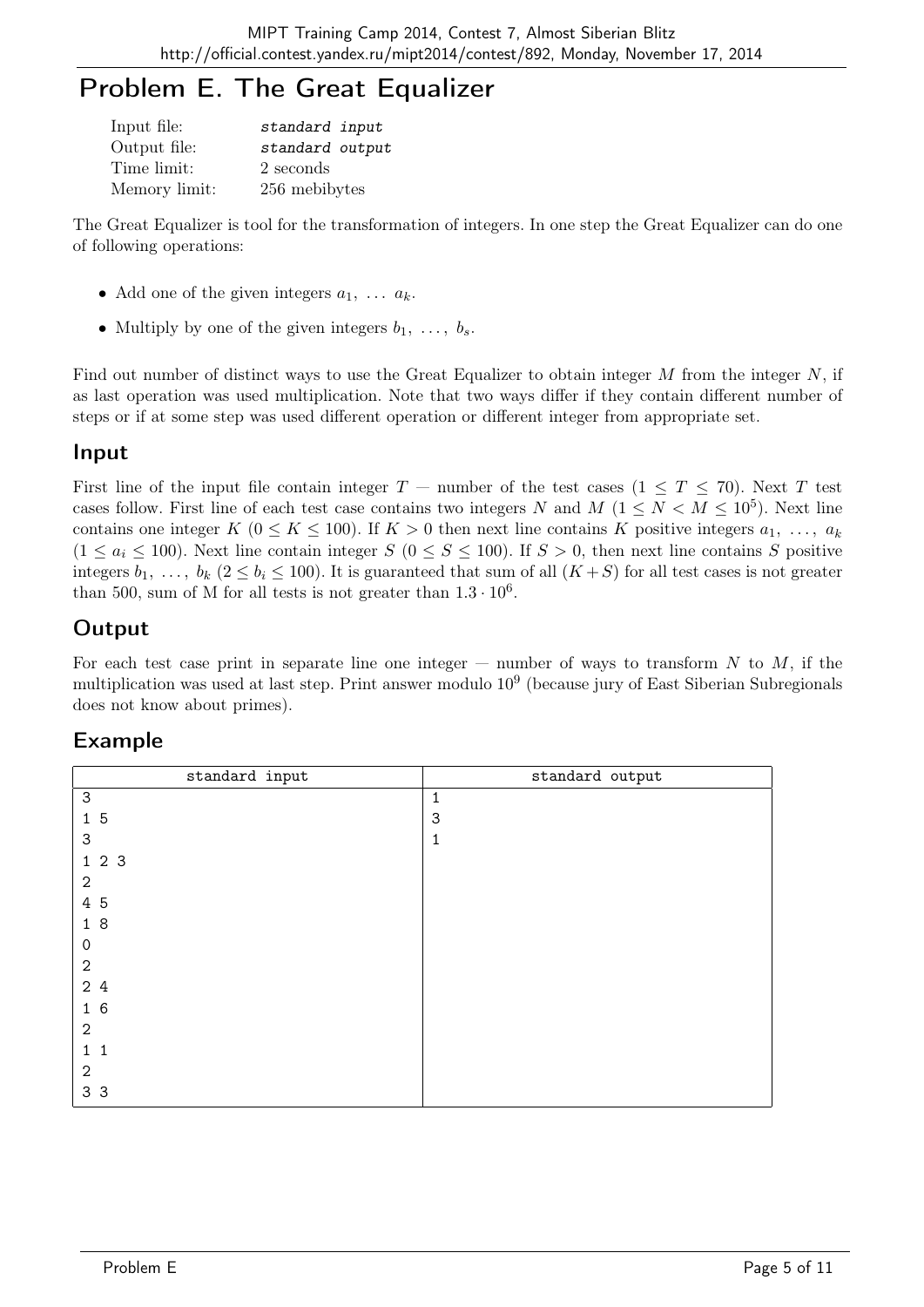# Problem E. The Great Equalizer

| Input file:   | standard input  |
|---------------|-----------------|
| Output file:  | standard output |
| Time limit:   | 2 seconds       |
| Memory limit: | 256 mebibytes   |

The Great Equalizer is tool for the transformation of integers. In one step the Great Equalizer can do one of following operations:

- Add one of the given integers  $a_1, \ldots, a_k$ .
- Multiply by one of the given integers  $b_1, \ldots, b_s$ .

Find out number of distinct ways to use the Great Equalizer to obtain integer  $M$  from the integer  $N$ , if as last operation was used multiplication. Note that two ways differ if they contain different number of steps or if at some step was used different operation or different integer from appropriate set.

#### Input

First line of the input file contain integer  $T$  — number of the test cases  $(1 \leq T \leq 70)$ . Next T test cases follow. First line of each test case contains two integers N and  $M$   $(1 \leq N < M \leq 10^5)$ . Next line contains one integer K ( $0 \le K \le 100$ ). If  $K > 0$  then next line contains K positive integers  $a_1, \ldots, a_k$  $(1 \le a_i \le 100)$ . Next line contain integer  $S$   $(0 \le S \le 100)$ . If  $S > 0$ , then next line contains S positive integers  $b_1, \ldots, b_k$  ( $2 \le b_i \le 100$ ). It is guaranteed that sum of all  $(K+S)$  for all test cases is not greater than 500, sum of M for all tests is not greater than  $1.3 \cdot 10^6$ .

## **Output**

For each test case print in separate line one integer — number of ways to transform N to M, if the multiplication was used at last step. Print answer modulo 10<sup>9</sup> (because jury of East Siberian Subregionals does not know about primes).

| standard input        | standard output |
|-----------------------|-----------------|
| $\mathsf 3$           | 1               |
| 15                    | 3               |
| 3                     | 1               |
| 123                   |                 |
| $\overline{2}$        |                 |
| 4 5                   |                 |
| 18                    |                 |
| $\mathbf 0$           |                 |
| $\sqrt{2}$            |                 |
| 2 4                   |                 |
| 16                    |                 |
| $\mathbf{2}$          |                 |
| $1 \ \mathbf{S}$<br>1 |                 |
| 2                     |                 |
| 3 3                   |                 |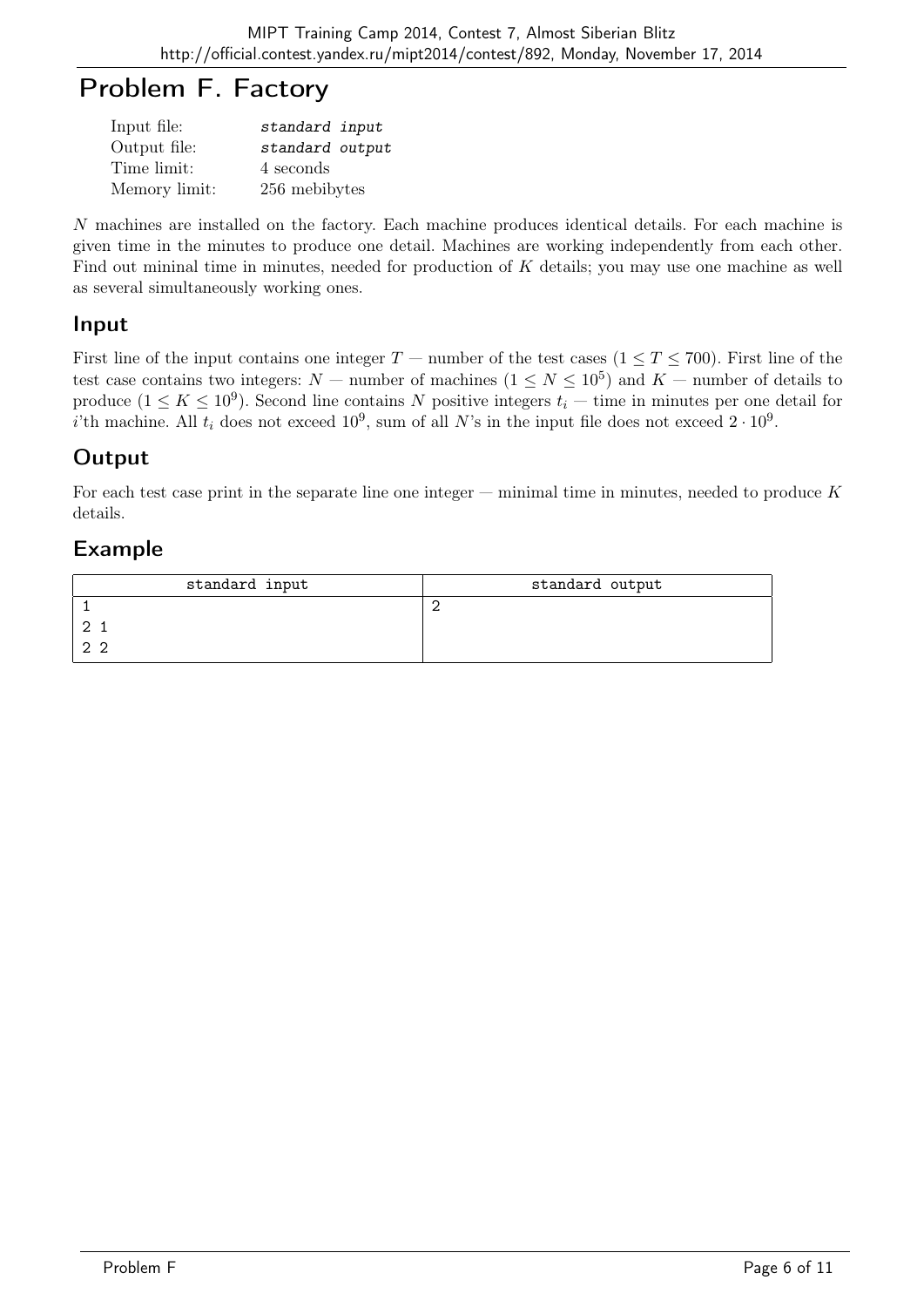# Problem F. Factory

| Input file:   | standard input  |
|---------------|-----------------|
| Output file:  | standard output |
| Time limit:   | 4 seconds       |
| Memory limit: | 256 mebibytes   |

N machines are installed on the factory. Each machine produces identical details. For each machine is given time in the minutes to produce one detail. Machines are working independently from each other. Find out mininal time in minutes, needed for production of K details; you may use one machine as well as several simultaneously working ones.

#### Input

First line of the input contains one integer  $T$  — number of the test cases  $(1 \le T \le 700)$ . First line of the test case contains two integers:  $N$  – number of machines  $(1 \leq N \leq 10^5)$  and  $K$  – number of details to produce  $(1 \leq K \leq 10^9)$ . Second line contains N positive integers  $t_i$  — time in minutes per one detail for *i*'th machine. All  $t_i$  does not exceed  $10^9$ , sum of all N's in the input file does not exceed  $2 \cdot 10^9$ .

# **Output**

For each test case print in the separate line one integer  $-$  minimal time in minutes, needed to produce  $K$ details.

| standard input | standard output |
|----------------|-----------------|
|                |                 |
|                |                 |
| າ າ            |                 |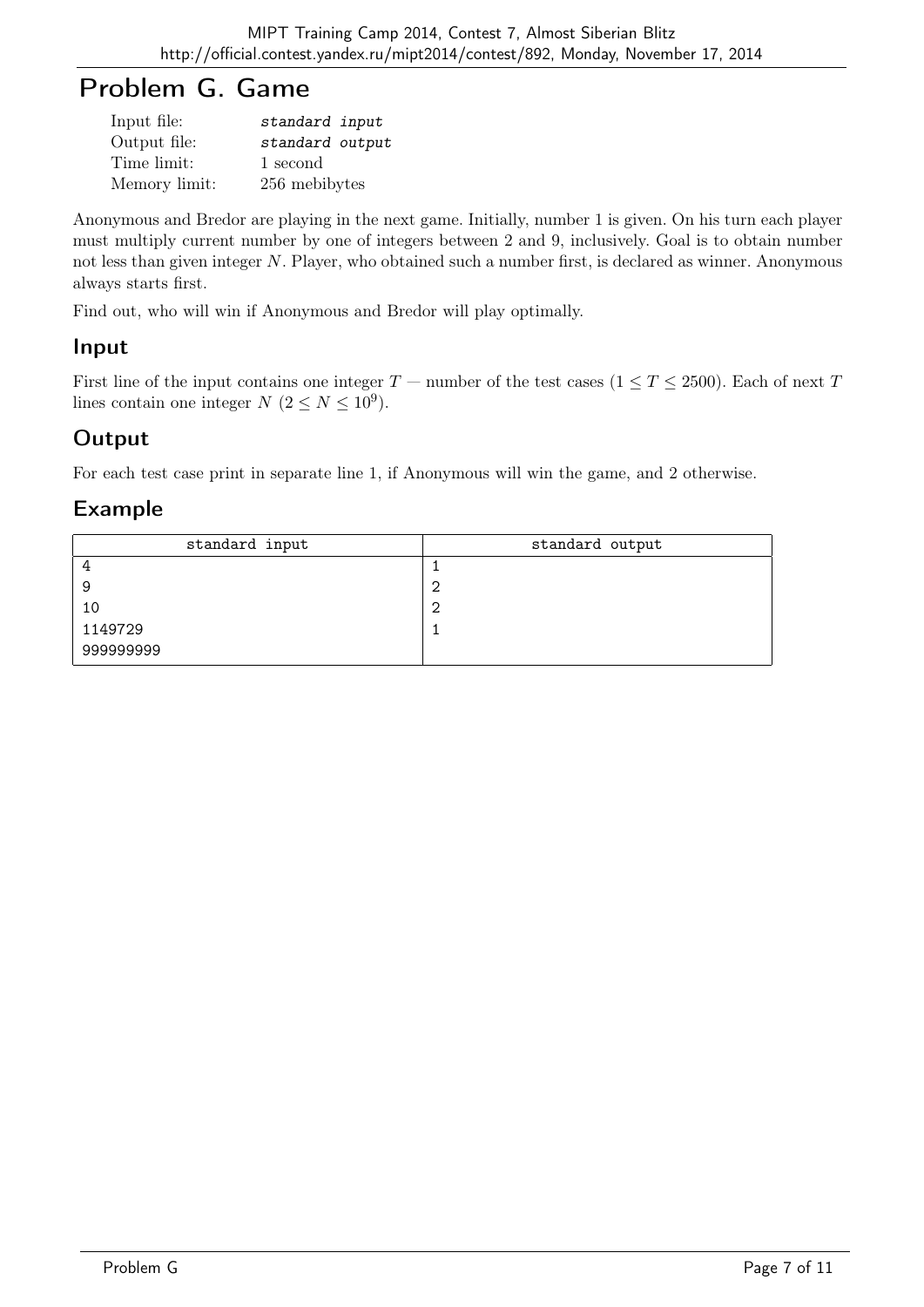# Problem G. Game

| Input file:   | standard input  |
|---------------|-----------------|
| Output file:  | standard output |
| Time limit:   | 1 second        |
| Memory limit: | 256 mebibytes   |

Anonymous and Bredor are playing in the next game. Initially, number 1 is given. On his turn each player must multiply current number by one of integers between 2 and 9, inclusively. Goal is to obtain number not less than given integer N. Player, who obtained such a number first, is declared as winner. Anonymous always starts first.

Find out, who will win if Anonymous and Bredor will play optimally.

## Input

First line of the input contains one integer  $T$  — number of the test cases  $(1 \le T \le 2500)$ . Each of next T lines contain one integer  $N$   $(2 \le N \le 10^9)$ .

# **Output**

For each test case print in separate line 1, if Anonymous will win the game, and 2 otherwise.

| standard input | standard output |
|----------------|-----------------|
|                |                 |
| 9              | c               |
| 10             | c               |
| 1149729        |                 |
| 999999999      |                 |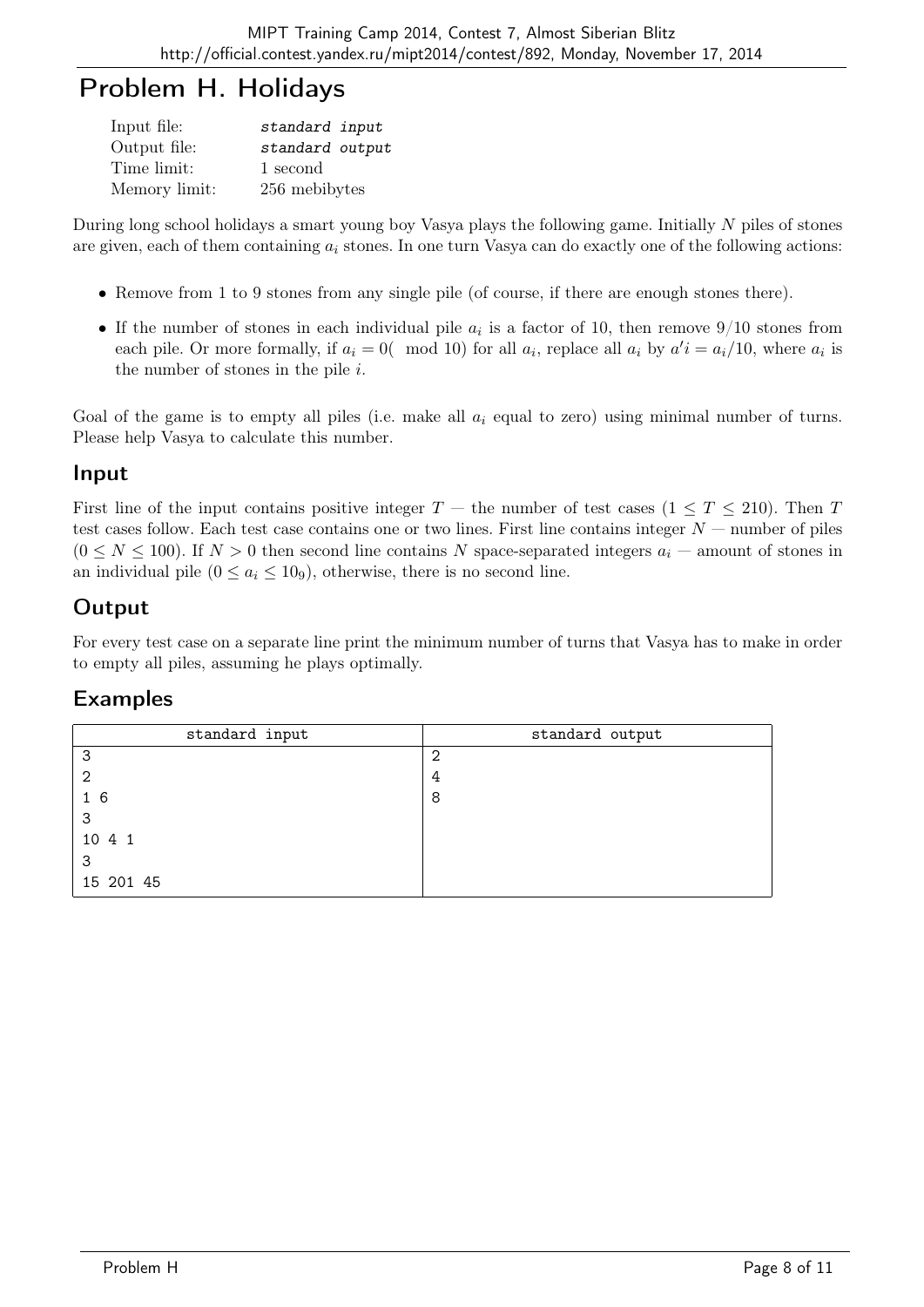# Problem H. Holidays

| Input file:   | standard input  |
|---------------|-----------------|
| Output file:  | standard output |
| Time limit:   | 1 second        |
| Memory limit: | 256 mebibytes   |

During long school holidays a smart young boy Vasya plays the following game. Initially N piles of stones are given, each of them containing  $a_i$  stones. In one turn Vasya can do exactly one of the following actions:

- Remove from 1 to 9 stones from any single pile (of course, if there are enough stones there).
- If the number of stones in each individual pile  $a_i$  is a factor of 10, then remove  $9/10$  stones from each pile. Or more formally, if  $a_i = 0$  (mod 10) for all  $a_i$ , replace all  $a_i$  by  $a' i = a_i/10$ , where  $a_i$  is the number of stones in the pile  $i$ .

Goal of the game is to empty all piles (i.e. make all  $a_i$  equal to zero) using minimal number of turns. Please help Vasya to calculate this number.

### Input

First line of the input contains positive integer  $T$  — the number of test cases  $(1 \le T \le 210)$ . Then T test cases follow. Each test case contains one or two lines. First line contains integer  $N$  — number of piles  $(0 \le N \le 100)$ . If  $N > 0$  then second line contains N space-separated integers  $a_i$  – amount of stones in an individual pile  $(0 \le a_i \le 10<sub>9</sub>)$ , otherwise, there is no second line.

# **Output**

For every test case on a separate line print the minimum number of turns that Vasya has to make in order to empty all piles, assuming he plays optimally.

| standard input | standard output |
|----------------|-----------------|
| 3              | 2               |
| -2             | 4               |
| 16             | 8               |
| 3              |                 |
| 10 4 1         |                 |
| 3              |                 |
| 15 201 45      |                 |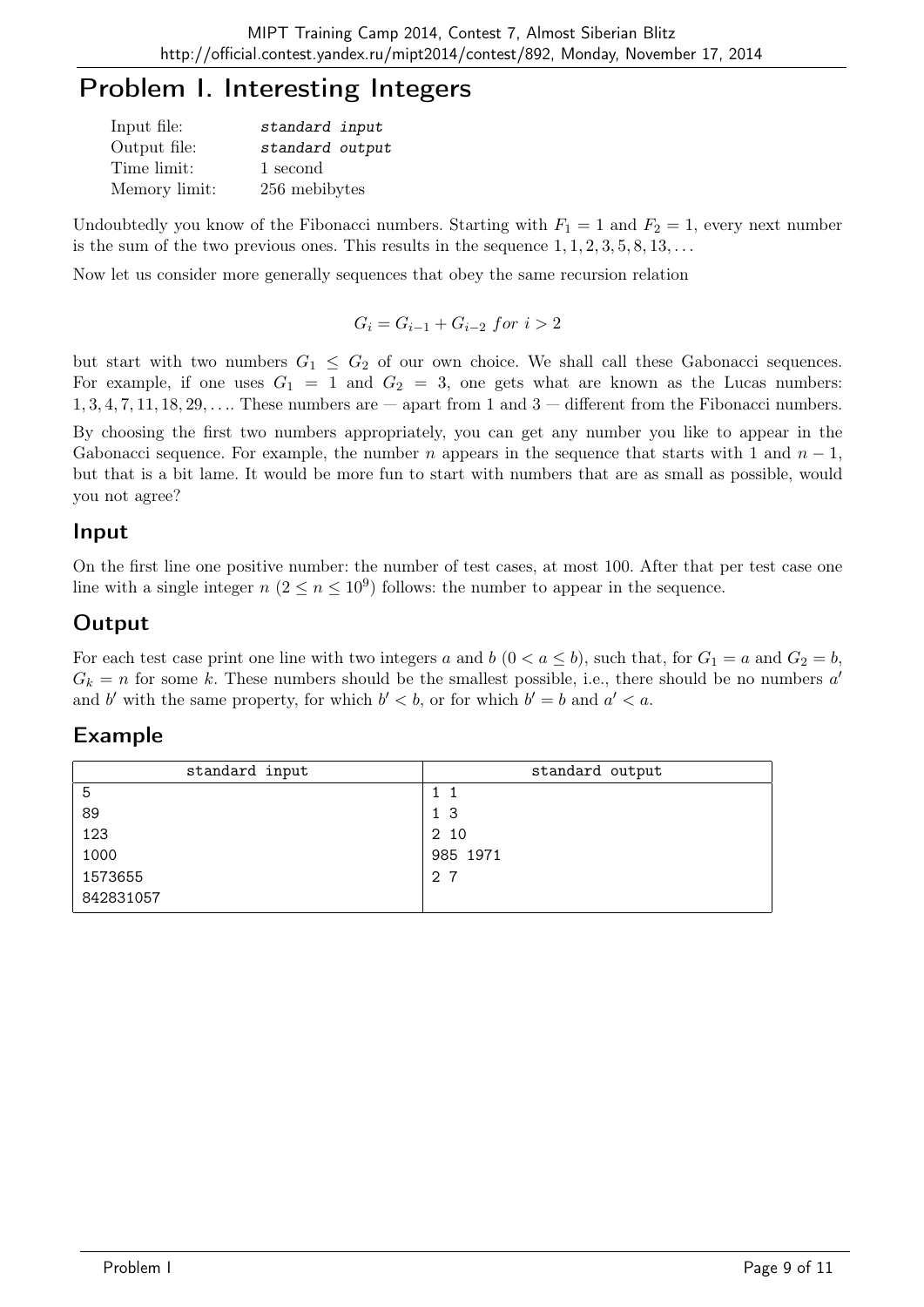# Problem I. Interesting Integers

| Input file:   | standard input  |
|---------------|-----------------|
| Output file:  | standard output |
| Time limit:   | 1 second        |
| Memory limit: | 256 mebibytes   |

Undoubtedly you know of the Fibonacci numbers. Starting with  $F_1 = 1$  and  $F_2 = 1$ , every next number is the sum of the two previous ones. This results in the sequence  $1, 1, 2, 3, 5, 8, 13, \ldots$ 

Now let us consider more generally sequences that obey the same recursion relation

$$
G_i = G_{i-1} + G_{i-2} \; for \; i > 2
$$

but start with two numbers  $G_1 \leq G_2$  of our own choice. We shall call these Gabonacci sequences. For example, if one uses  $G_1 = 1$  and  $G_2 = 3$ , one gets what are known as the Lucas numbers:  $1, 3, 4, 7, 11, 18, 29, \ldots$  These numbers are  $-$  apart from 1 and 3  $-$  different from the Fibonacci numbers.

By choosing the first two numbers appropriately, you can get any number you like to appear in the Gabonacci sequence. For example, the number n appears in the sequence that starts with 1 and  $n-1$ , but that is a bit lame. It would be more fun to start with numbers that are as small as possible, would you not agree?

### Input

On the first line one positive number: the number of test cases, at most 100. After that per test case one line with a single integer  $n (2 \le n \le 10^9)$  follows: the number to appear in the sequence.

## **Output**

For each test case print one line with two integers a and b  $(0 < a \le b)$ , such that, for  $G_1 = a$  and  $G_2 = b$ ,  $G_k = n$  for some k. These numbers should be the smallest possible, i.e., there should be no numbers a and b' with the same property, for which  $b' < b$ , or for which  $b' = b$  and  $a' < a$ .

| standard input | standard output |
|----------------|-----------------|
| 5              | 11              |
| 89             | 1 <sub>3</sub>  |
| 123            | 2 10            |
| 1000           | 985 1971        |
| 1573655        | 2 7             |
| 842831057      |                 |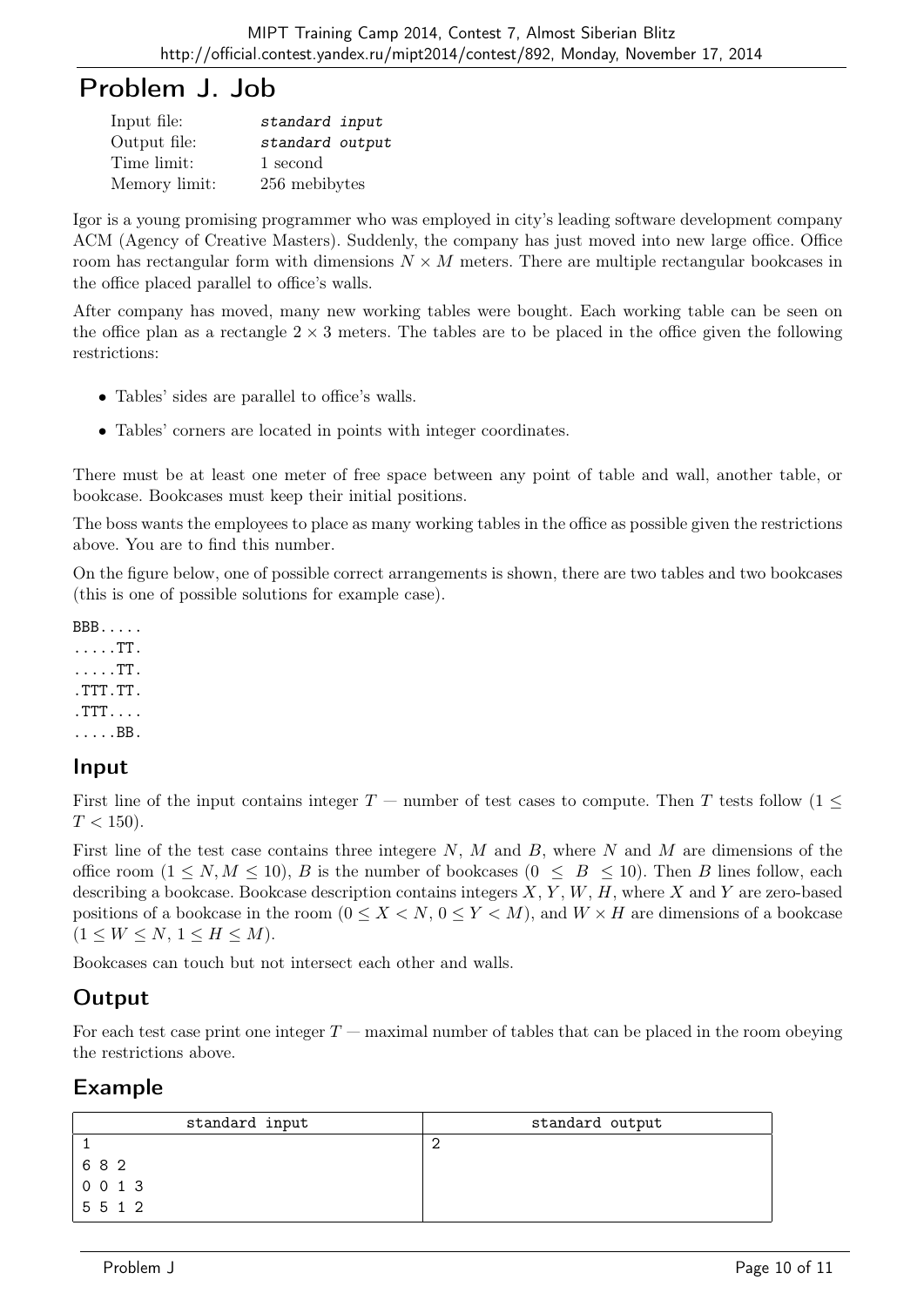# Problem J. Job

| Input file:   | standard input  |
|---------------|-----------------|
| Output file:  | standard output |
| Time limit:   | 1 second        |
| Memory limit: | 256 mebibytes   |

Igor is a young promising programmer who was employed in city's leading software development company ACM (Agency of Creative Masters). Suddenly, the company has just moved into new large office. Office room has rectangular form with dimensions  $N \times M$  meters. There are multiple rectangular bookcases in the office placed parallel to office's walls.

After company has moved, many new working tables were bought. Each working table can be seen on the office plan as a rectangle  $2 \times 3$  meters. The tables are to be placed in the office given the following restrictions:

- Tables' sides are parallel to office's walls.
- Tables' corners are located in points with integer coordinates.

There must be at least one meter of free space between any point of table and wall, another table, or bookcase. Bookcases must keep their initial positions.

The boss wants the employees to place as many working tables in the office as possible given the restrictions above. You are to find this number.

On the figure below, one of possible correct arrangements is shown, there are two tables and two bookcases (this is one of possible solutions for example case).

BBB..... .....TT. .....TT. .TTT.TT. .TTT.... .....BB.

#### Input

First line of the input contains integer  $T$  — number of test cases to compute. Then T tests follow (1  $\leq$  $T < 150$ ).

First line of the test case contains three integere  $N$ ,  $M$  and  $B$ , where  $N$  and  $M$  are dimensions of the office room  $(1 \le N, M \le 10)$ , B is the number of bookcases  $(0 \le B \le 10)$ . Then B lines follow, each describing a bookcase. Bookcase description contains integers  $X, Y, W, H$ , where X and Y are zero-based positions of a bookcase in the room  $(0 \le X \le N, 0 \le Y \le M)$ , and  $W \times H$  are dimensions of a bookcase  $(1 \leq W \leq N, 1 \leq H \leq M).$ 

Bookcases can touch but not intersect each other and walls.

## **Output**

For each test case print one integer  $T$  — maximal number of tables that can be placed in the room obeying the restrictions above.

| standard input          | standard output |
|-------------------------|-----------------|
|                         |                 |
| 682<br>and the state of |                 |
| 0 0 1 3                 |                 |
| 5512                    |                 |